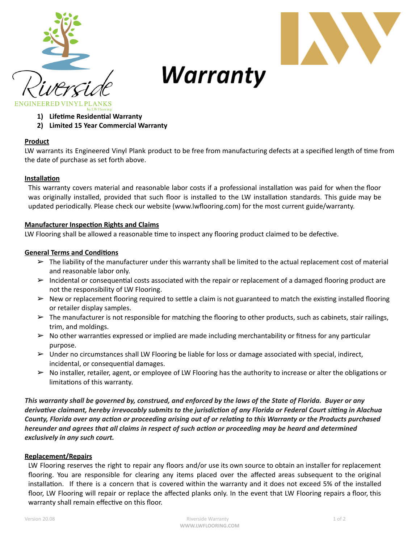



# Warranty

- **1)** Lifetime Residential Warranty
	- **2) Limited 15 Year Commercial Warranty**

## **Product**

LW warrants its Engineered Vinyl Plank product to be free from manufacturing defects at a specified length of time from the date of purchase as set forth above.

## **Installation**

This warranty covers material and reasonable labor costs if a professional installation was paid for when the floor was originally installed, provided that such floor is installed to the LW installation standards. This guide may be updated periodically. Please check our website (www.lwflooring.com) for the most current guide/warranty.

#### **Manufacturer Inspection Rights and Claims**

LW Flooring shall be allowed a reasonable time to inspect any flooring product claimed to be defective.

## **General Terms and Conditions**

- $\triangleright$  The liability of the manufacturer under this warranty shall be limited to the actual replacement cost of material and reasonable labor only.
- $\triangleright$  Incidental or consequential costs associated with the repair or replacement of a damaged flooring product are not the responsibility of LW Flooring.
- $\triangleright$  New or replacement flooring required to settle a claim is not guaranteed to match the existing installed flooring or retailer display samples.
- $\triangleright$  The manufacturer is not responsible for matching the flooring to other products, such as cabinets, stair railings, trim, and moldings.
- $\triangleright$  No other warranties expressed or implied are made including merchantability or fitness for any particular purpose.
- ➢ Under no circumstances shall LW Flooring be liable for loss or damage associated with special, indirect, incidental, or consequential damages.
- $\triangleright$  No installer, retailer, agent, or employee of LW Flooring has the authority to increase or alter the obligations or limitations of this warranty.

This warranty shall be governed by, construed, and enforced by the laws of the State of Florida. Buyer or any derivative claimant, hereby irrevocably submits to the jurisdiction of any Florida or Federal Court sitting in Alachua County, Florida over any action or proceeding arising out of or relating to this Warranty or the Products purchased hereunder and agrees that all claims in respect of such action or proceeding may be heard and determined *exclusively in any such court.*

## **Replacement/Repairs**

LW Flooring reserves the right to repair any floors and/or use its own source to obtain an installer for replacement flooring. You are responsible for clearing any items placed over the affected areas subsequent to the original installation. If there is a concern that is covered within the warranty and it does not exceed 5% of the installed floor, LW Flooring will repair or replace the affected planks only. In the event that LW Flooring repairs a floor, this warranty shall remain effective on this floor.